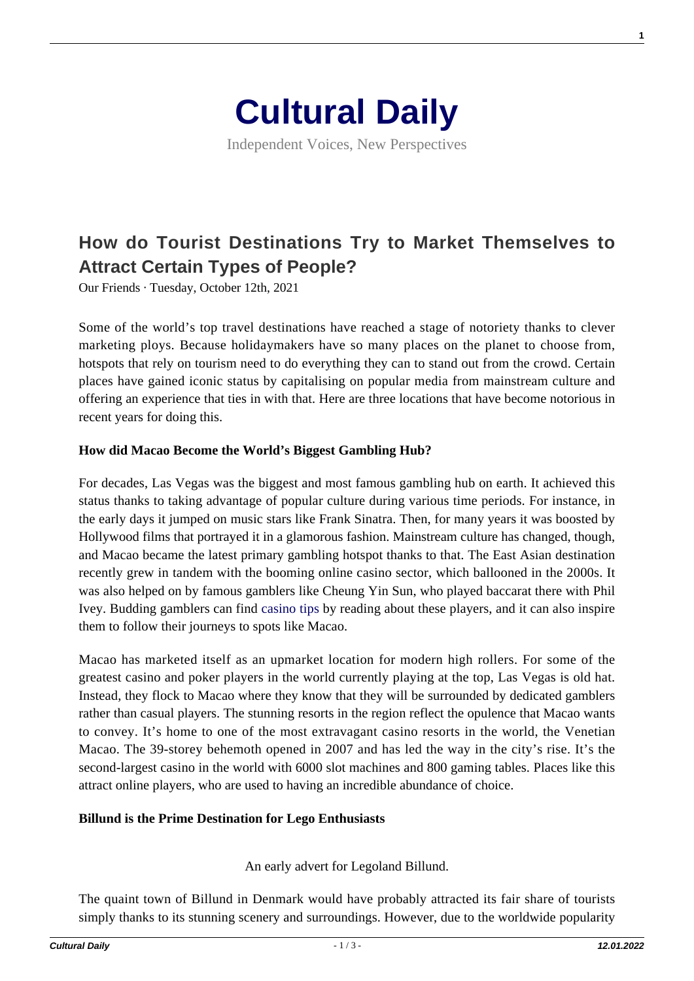

# **[How do Tourist Destinations Try to Market Themselves to](https://culturaldaily.com/how-do-tourist-destinations-try-to-market-themselves-to-attract-certain-types-of-people/) [Attract Certain Types of People?](https://culturaldaily.com/how-do-tourist-destinations-try-to-market-themselves-to-attract-certain-types-of-people/)**

Our Friends · Tuesday, October 12th, 2021

Some of the world's top travel destinations have reached a stage of notoriety thanks to clever marketing ploys. Because holidaymakers have so many places on the planet to choose from, hotspots that rely on tourism need to do everything they can to stand out from the crowd. Certain places have gained iconic status by capitalising on popular media from mainstream culture and offering an experience that ties in with that. Here are three locations that have become notorious in recent years for doing this.

#### **How did Macao Become the World's Biggest Gambling Hub?**

For decades, Las Vegas was the biggest and most famous gambling hub on earth. It achieved this status thanks to taking advantage of popular culture during various time periods. For instance, in the early days it jumped on music stars like Frank Sinatra. Then, for many years it was boosted by Hollywood films that portrayed it in a glamorous fashion. Mainstream culture has changed, though, and Macao became the latest primary gambling hotspot thanks to that. The East Asian destination recently grew in tandem with the booming online casino sector, which ballooned in the 2000s. It was also helped on by famous gamblers like Cheung Yin Sun, who played baccarat there with Phil Ivey. Budding gamblers can find [casino tips](https://www.888casino.se/blogg/casino-tips/kelly-cheung-yin-sun) by reading about these players, and it can also inspire them to follow their journeys to spots like Macao.

Macao has marketed itself as an upmarket location for modern high rollers. For some of the greatest casino and poker players in the world currently playing at the top, Las Vegas is old hat. Instead, they flock to Macao where they know that they will be surrounded by dedicated gamblers rather than casual players. The stunning resorts in the region reflect the opulence that Macao wants to convey. It's home to one of the most extravagant casino resorts in the world, the Venetian Macao. The 39-storey behemoth opened in 2007 and has led the way in the city's rise. It's the second-largest casino in the world with 6000 slot machines and 800 gaming tables. Places like this attract online players, who are used to having an incredible abundance of choice.

#### **Billund is the Prime Destination for Lego Enthusiasts**

An early advert for Legoland Billund.

The quaint town of Billund in Denmark would have probably attracted its fair share of tourists simply thanks to its stunning scenery and surroundings. However, due to the worldwide popularity **1**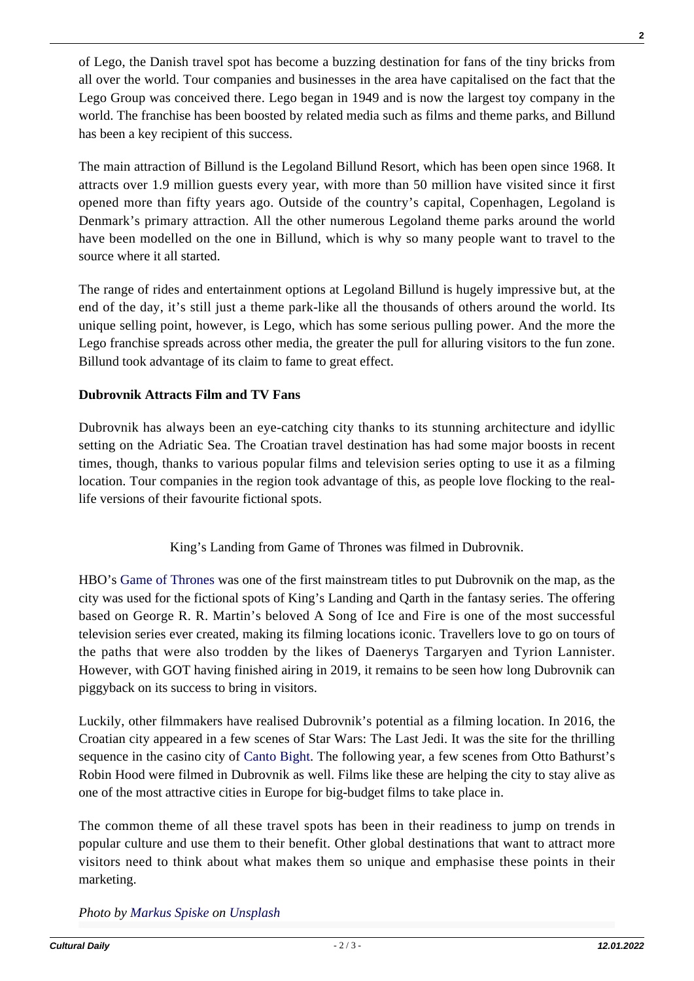of Lego, the Danish travel spot has become a buzzing destination for fans of the tiny bricks from all over the world. Tour companies and businesses in the area have capitalised on the fact that the Lego Group was conceived there. Lego began in 1949 and is now the largest toy company in the world. The franchise has been boosted by related media such as films and theme parks, and Billund has been a key recipient of this success.

The main attraction of Billund is the Legoland Billund Resort, which has been open since 1968. It attracts over 1.9 million guests every year, with more than 50 million have visited since it first opened more than fifty years ago. Outside of the country's capital, Copenhagen, Legoland is Denmark's primary attraction. All the other numerous Legoland theme parks around the world have been modelled on the one in Billund, which is why so many people want to travel to the source where it all started.

The range of rides and entertainment options at Legoland Billund is hugely impressive but, at the end of the day, it's still just a theme park-like all the thousands of others around the world. Its unique selling point, however, is Lego, which has some serious pulling power. And the more the Lego franchise spreads across other media, the greater the pull for alluring visitors to the fun zone. Billund took advantage of its claim to fame to great effect.

### **Dubrovnik Attracts Film and TV Fans**

Dubrovnik has always been an eye-catching city thanks to its stunning architecture and idyllic setting on the Adriatic Sea. The Croatian travel destination has had some major boosts in recent times, though, thanks to various popular films and television series opting to use it as a filming location. Tour companies in the region took advantage of this, as people love flocking to the reallife versions of their favourite fictional spots.

## King's Landing from Game of Thrones was filmed in Dubrovnik.

HBO's [Game of Thrones](https://www.culturaldaily.com/game-thrones-washington-edition/) was one of the first mainstream titles to put Dubrovnik on the map, as the city was used for the fictional spots of King's Landing and Qarth in the fantasy series. The offering based on George R. R. Martin's beloved A Song of Ice and Fire is one of the most successful television series ever created, making its filming locations iconic. Travellers love to go on tours of the paths that were also trodden by the likes of Daenerys Targaryen and Tyrion Lannister. However, with GOT having finished airing in 2019, it remains to be seen how long Dubrovnik can piggyback on its success to bring in visitors.

Luckily, other filmmakers have realised Dubrovnik's potential as a filming location. In 2016, the Croatian city appeared in a few scenes of Star Wars: The Last Jedi. It was the site for the thrilling sequence in the casino city of [Canto Bight](https://www.denofgeek.com/movies/star-wars-canto-bight-review/). The following year, a few scenes from Otto Bathurst's Robin Hood were filmed in Dubrovnik as well. Films like these are helping the city to stay alive as one of the most attractive cities in Europe for big-budget films to take place in.

The common theme of all these travel spots has been in their readiness to jump on trends in popular culture and use them to their benefit. Other global destinations that want to attract more visitors need to think about what makes them so unique and emphasise these points in their marketing.

*Photo by [Markus Spiske](https://unsplash.com/@markusspiske?utm_source=unsplash&utm_medium=referral&utm_content=creditCopyText) on [Unsplash](https://unsplash.com/?utm_source=unsplash&utm_medium=referral&utm_content=creditCopyText)*